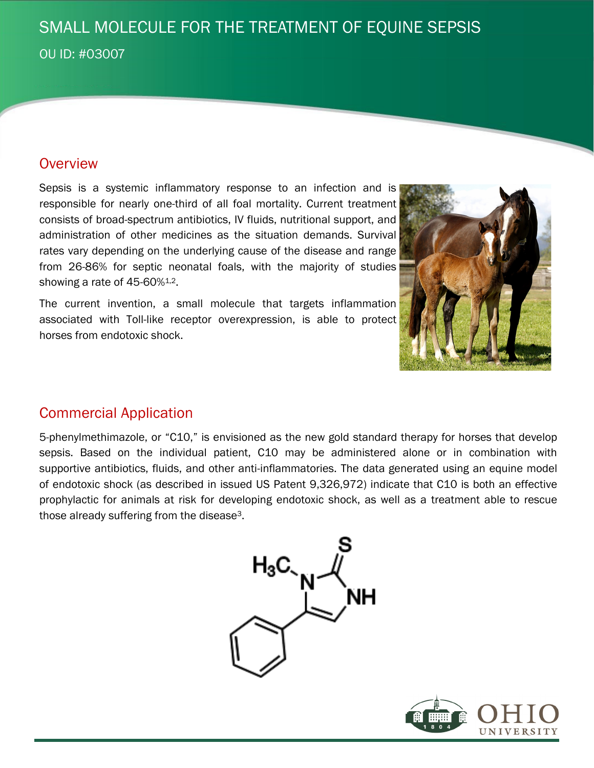# SMALL MOLECULE FOR THE TREATMENT OF EQUINE SEPSIS OU ID: #03007

#### **Overview**

Sepsis is a systemic inflammatory response to an infection and is responsible for nearly one-third of all foal mortality. Current treatment consists of broad-spectrum antibiotics, IV fluids, nutritional support, and administration of other medicines as the situation demands. Survival rates vary depending on the underlying cause of the disease and range from 26-86% for septic neonatal foals, with the majority of studies showing a rate of 45-60%<sup>1,2</sup>.

The current invention, a small molecule that targets inflammation associated with Toll-like receptor overexpression, is able to protect horses from endotoxic shock.



### Commercial Application

5-phenylmethimazole, or "C10," is envisioned as the new gold standard therapy for horses that develop sepsis. Based on the individual patient, C10 may be administered alone or in combination with supportive antibiotics, fluids, and other anti-inflammatories. The data generated using an equine model of endotoxic shock (as described in issued US Patent 9,326,972) indicate that C10 is both an effective prophylactic for animals at risk for developing endotoxic shock, as well as a treatment able to rescue those already suffering from the disease3.